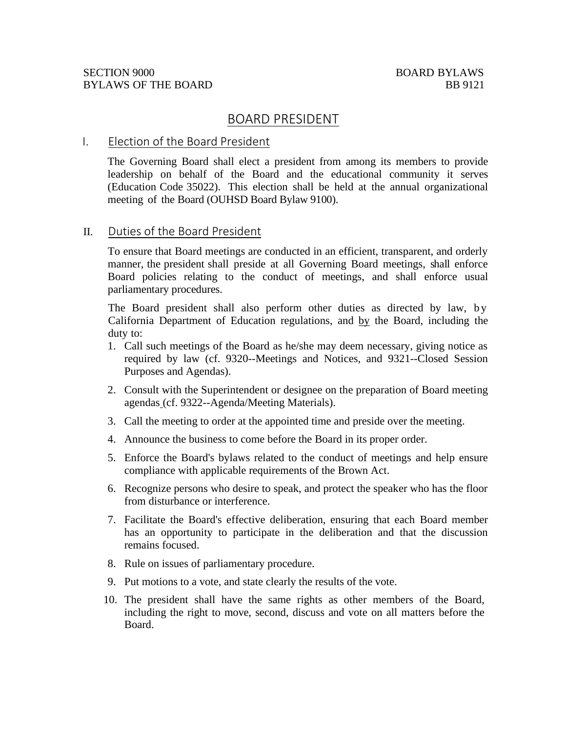# BOARD PRESIDENT

## I. Election of the Board President

The Governing Board shall elect a president from among its members to provide leadership on behalf of the Board and the educational community it serves (Education Code 35022). This election shall be held at the annual organizational meeting of the Board (OUHSD Board Bylaw 9100).

## II. Duties of the Board President

To ensure that Board meetings are conducted in an efficient, transparent, and orderly manner, the president shall preside at all Governing Board meetings, shall enforce Board policies relating to the conduct of meetings, and shall enforce usual parliamentary procedures.

The Board president shall also perform other duties as directed by law, by California Department of Education regulations, and by the Board, including the duty to:

- 1. Call such meetings of the Board as he/she may deem necessary, giving notice as required by law (cf. 9320--Meetings and Notices, and 9321--Closed Session Purposes and Agendas).
- 2. Consult with the Superintendent or designee on the preparation of Board meeting agendas (cf. 9322--Agenda/Meeting Materials).
- 3. Call the meeting to order at the appointed time and preside over the meeting.
- 4. Announce the business to come before the Board in its proper order.
- 5. Enforce the Board's bylaws related to the conduct of meetings and help ensure compliance with applicable requirements of the Brown Act.
- 6. Recognize persons who desire to speak, and protect the speaker who has the floor from disturbance or interference.
- 7. Facilitate the Board's effective deliberation, ensuring that each Board member has an opportunity to participate in the deliberation and that the discussion remains focused.
- 8. Rule on issues of parliamentary procedure.
- 9. Put motions to a vote, and state clearly the results of the vote.
- 10. The president shall have the same rights as other members of the Board, including the right to move, second, discuss and vote on all matters before the Board.